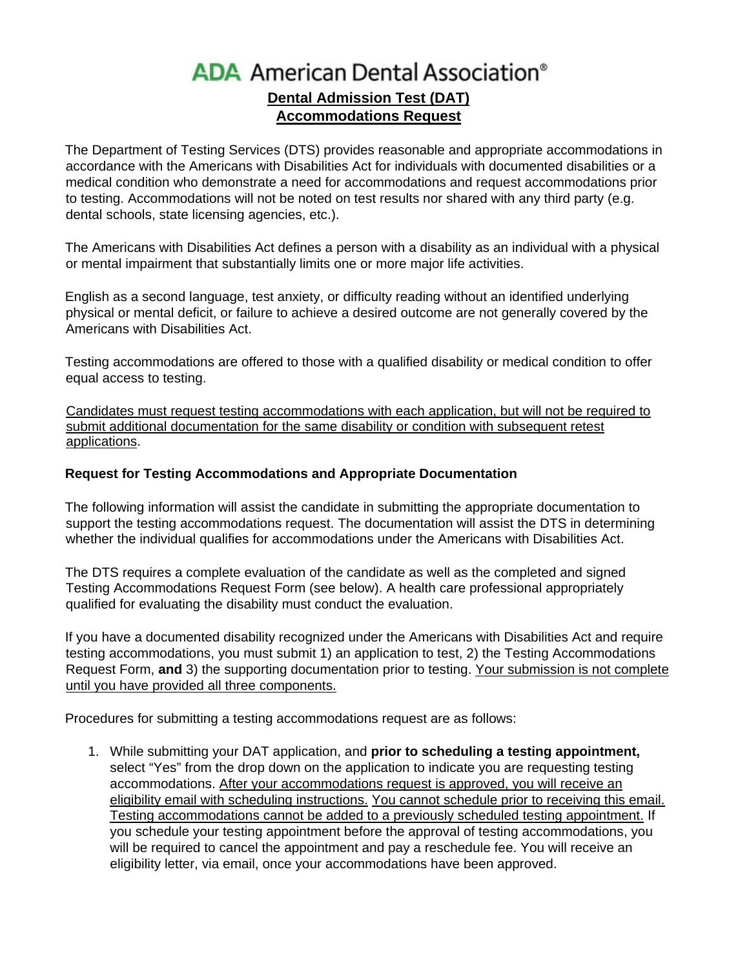# **ADA** American Dental Association® **Dental Admission Test (DAT) Accommodations Request**

The Department of Testing Services (DTS) provides reasonable and appropriate accommodations in accordance with the Americans with Disabilities Act for individuals with documented disabilities or a medical condition who demonstrate a need for accommodations and request accommodations prior to testing. Accommodations will not be noted on test results nor shared with any third party (e.g. dental schools, state licensing agencies, etc.).

The Americans with Disabilities Act defines a person with a disability as an individual with a physical or mental impairment that substantially limits one or more major life activities.

English as a second language, test anxiety, or difficulty reading without an identified underlying physical or mental deficit, or failure to achieve a desired outcome are not generally covered by the Americans with Disabilities Act.

Testing accommodations are offered to those with a qualified disability or medical condition to offer equal access to testing.

Candidates must request testing accommodations with each application, but will not be required to submit additional documentation for the same disability or condition with subsequent retest applications.

### **Request for Testing Accommodations and Appropriate Documentation**

The following information will assist the candidate in submitting the appropriate documentation to support the testing accommodations request. The documentation will assist the DTS in determining whether the individual qualifies for accommodations under the Americans with Disabilities Act.

The DTS requires a complete evaluation of the candidate as well as the completed and signed Testing Accommodations Request Form (see below). A health care professional appropriately qualified for evaluating the disability must conduct the evaluation.

If you have a documented disability recognized under the Americans with Disabilities Act and require testing accommodations, you must submit 1) an application to test, 2) the Testing Accommodations Request Form, **and** 3) the supporting documentation prior to testing. Your submission is not complete until you have provided all three components.

Procedures for submitting a testing accommodations request are as follows:

1. While submitting your DAT application, and **prior to scheduling a testing appointment,** select "Yes" from the drop down on the application to indicate you are requesting testing accommodations. After your accommodations request is approved, you will receive an eligibility email with scheduling instructions. You cannot schedule prior to receiving this email. Testing accommodations cannot be added to a previously scheduled testing appointment. If you schedule your testing appointment before the approval of testing accommodations, you will be required to cancel the appointment and pay a reschedule fee. You will receive an eligibility letter, via email, once your accommodations have been approved.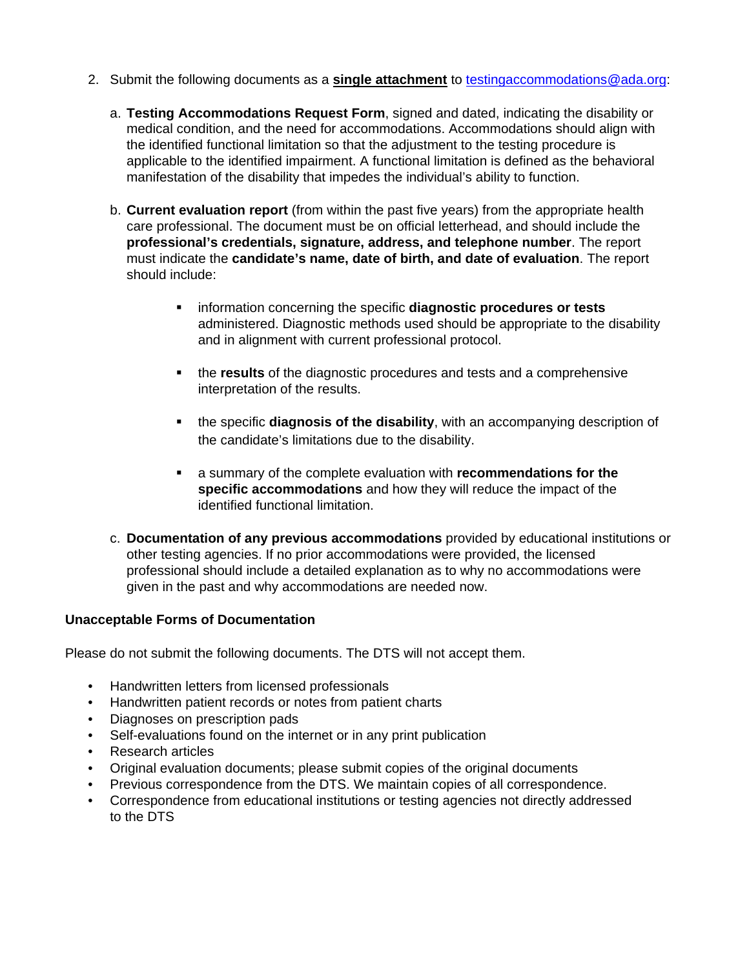- 2. Submit the following documents as a **single attachment** to testingaccommodations@ada.org:
	- a. **Testing Accommodations Request Form**, signed and dated, indicating the disability or medical condition, and the need for accommodations. Accommodations should align with the identified functional limitation so that the adjustment to the testing procedure is applicable to the identified impairment. A functional limitation is defined as the behavioral manifestation of the disability that impedes the individual's ability to function.
	- b. **Current evaluation report** (from within the past five years) from the appropriate health care professional. The document must be on official letterhead, and should include the **professional's credentials, signature, address, and telephone number**. The report must indicate the **candidate's name, date of birth, and date of evaluation**. The report should include:
		- **EXEDENT** information concerning the specific **diagnostic procedures or tests** administered. Diagnostic methods used should be appropriate to the disability and in alignment with current professional protocol.
		- the **results** of the diagnostic procedures and tests and a comprehensive interpretation of the results.
		- the specific **diagnosis of the disability**, with an accompanying description of the candidate's limitations due to the disability.
		- a summary of the complete evaluation with **recommendations for the specific accommodations** and how they will reduce the impact of the identified functional limitation.
	- c. **Documentation of any previous accommodations** provided by educational institutions or other testing agencies. If no prior accommodations were provided, the licensed professional should include a detailed explanation as to why no accommodations were given in the past and why accommodations are needed now.

### **Unacceptable Forms of Documentation**

Please do not submit the following documents. The DTS will not accept them.

- Handwritten letters from licensed professionals
- Handwritten patient records or notes from patient charts
- Diagnoses on prescription pads
- Self-evaluations found on the internet or in any print publication
- Research articles
- Original evaluation documents; please submit copies of the original documents
- Previous correspondence from the DTS. We maintain copies of all correspondence.
- Correspondence from educational institutions or testing agencies not directly addressed to the DTS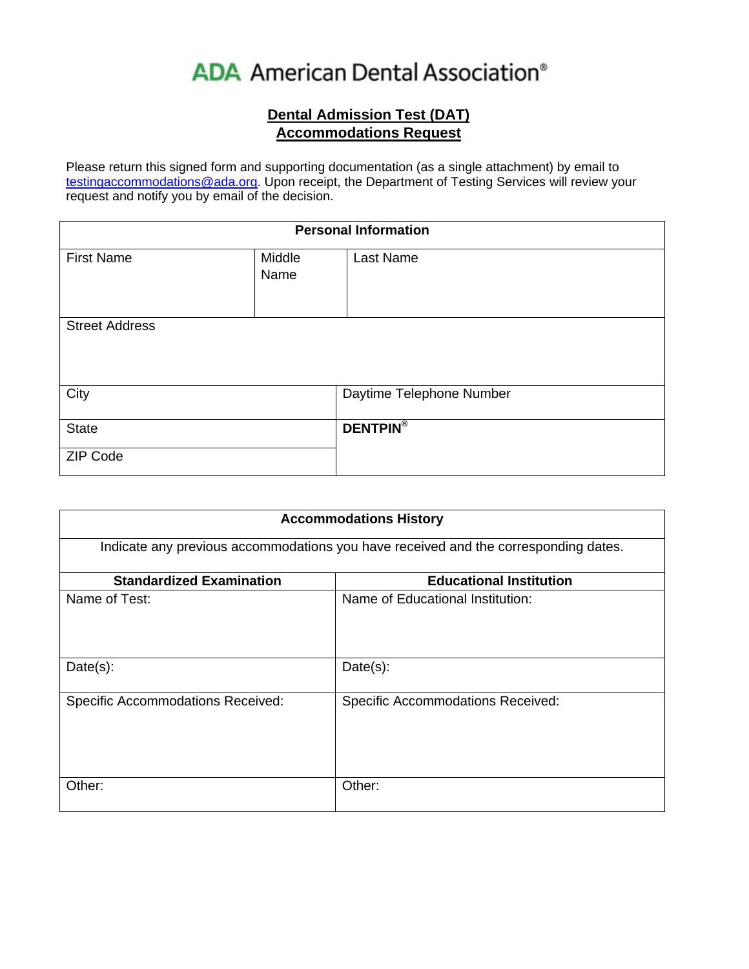# **ADA** American Dental Association®

## **Dental Admission Test (DAT) Accommodations Request**

Please return this signed form and supporting documentation (as a single attachment) by email to testingaccommodations@ada.org. Upon receipt, the Department of Testing Services will review your request and notify you by email of the decision.

| <b>Personal Information</b> |        |                          |  |
|-----------------------------|--------|--------------------------|--|
| <b>First Name</b>           | Middle | Last Name                |  |
|                             | Name   |                          |  |
|                             |        |                          |  |
| <b>Street Address</b>       |        |                          |  |
|                             |        |                          |  |
|                             |        |                          |  |
| City                        |        | Daytime Telephone Number |  |
|                             |        |                          |  |
| <b>State</b>                |        | <b>DENTPIN®</b>          |  |
| <b>ZIP Code</b>             |        |                          |  |

| <b>Accommodations History</b><br>Indicate any previous accommodations you have received and the corresponding dates. |                                          |  |  |
|----------------------------------------------------------------------------------------------------------------------|------------------------------------------|--|--|
|                                                                                                                      |                                          |  |  |
| Name of Test:                                                                                                        | Name of Educational Institution:         |  |  |
| $Date(s)$ :                                                                                                          | $Date(s)$ :                              |  |  |
| <b>Specific Accommodations Received:</b>                                                                             | <b>Specific Accommodations Received:</b> |  |  |
| Other:                                                                                                               | Other:                                   |  |  |